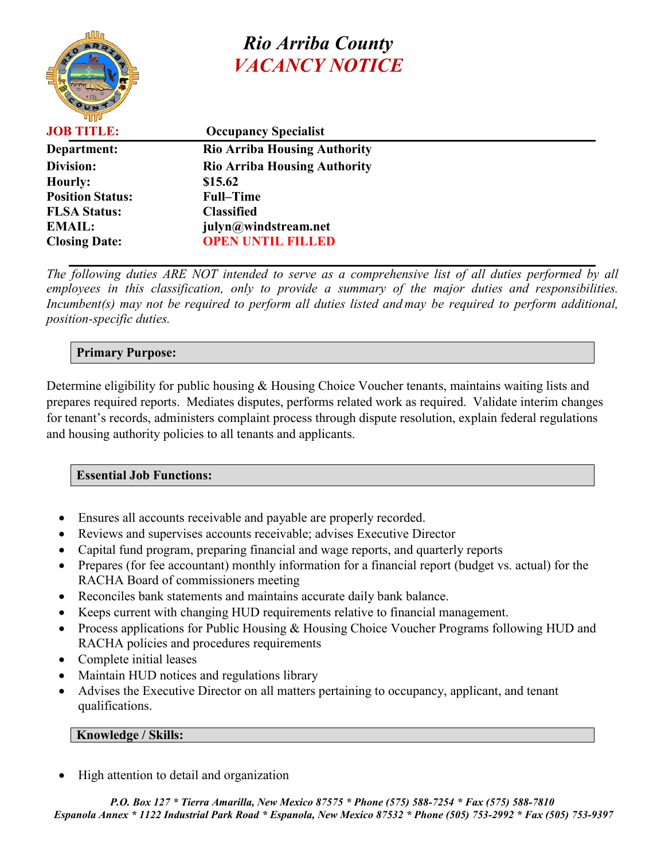

# *Rio Arriba County VACANCY NOTICE*

| <b>JOB TITLE:</b>       | <b>Occupancy Specialist</b>         |
|-------------------------|-------------------------------------|
| Department:             | <b>Rio Arriba Housing Authority</b> |
| Division:               | <b>Rio Arriba Housing Authority</b> |
| <b>Hourly:</b>          | \$15.62                             |
| <b>Position Status:</b> | <b>Full-Time</b>                    |
| <b>FLSA Status:</b>     | <b>Classified</b>                   |
| <b>EMAIL:</b>           | julyn@windstream.net                |
| <b>Closing Date:</b>    | <b>OPEN UNTIL FILLED</b>            |
|                         |                                     |

*The following duties ARE NOT intended to serve as a comprehensive list of all duties performed by all employees in this classification, only to provide a summary of the major duties and responsibilities. Incumbent(s) may not be required to perform all duties listed and may be required to perform additional, position-specific duties.*

## **Primary Purpose:**

Determine eligibility for public housing & Housing Choice Voucher tenants, maintains waiting lists and prepares required reports. Mediates disputes, performs related work as required. Validate interim changes for tenant's records, administers complaint process through dispute resolution, explain federal regulations and housing authority policies to all tenants and applicants.

#### **Essential Job Functions:**

- Ensures all accounts receivable and payable are properly recorded.
- Reviews and supervises accounts receivable; advises Executive Director
- Capital fund program, preparing financial and wage reports, and quarterly reports
- Prepares (for fee accountant) monthly information for a financial report (budget vs. actual) for the RACHA Board of commissioners meeting
- Reconciles bank statements and maintains accurate daily bank balance.
- Keeps current with changing HUD requirements relative to financial management.
- Process applications for Public Housing & Housing Choice Voucher Programs following HUD and RACHA policies and procedures requirements
- Complete initial leases
- Maintain HUD notices and regulations library
- Advises the Executive Director on all matters pertaining to occupancy, applicant, and tenant qualifications.

#### **Knowledge / Skills:**

• High attention to detail and organization